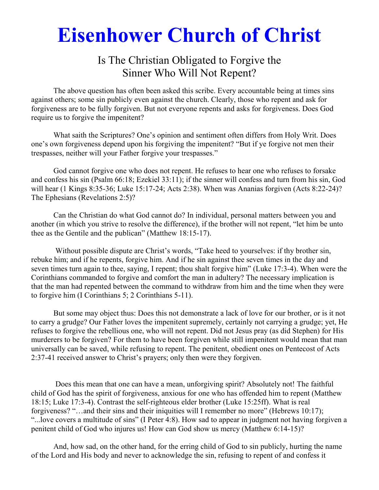# **Eisenhower Church of Christ**

## Is The Christian Obligated to Forgive the Sinner Who Will Not Repent?

 The above question has often been asked this scribe. Every accountable being at times sins against others; some sin publicly even against the church. Clearly, those who repent and ask for forgiveness are to be fully forgiven. But not everyone repents and asks for forgiveness. Does God require us to forgive the impenitent?

 What saith the Scriptures? One's opinion and sentiment often differs from Holy Writ. Does one's own forgiveness depend upon his forgiving the impenitent? "But if ye forgive not men their trespasses, neither will your Father forgive your trespasses."

 God cannot forgive one who does not repent. He refuses to hear one who refuses to forsake and confess his sin (Psalm 66:18; Ezekiel 33:11); if the sinner will confess and turn from his sin, God will hear (1 Kings 8:35-36; Luke 15:17-24; Acts 2:38). When was Ananias forgiven (Acts 8:22-24)? The Ephesians (Revelations 2:5)?

 Can the Christian do what God cannot do? In individual, personal matters between you and another (in which you strive to resolve the difference), if the brother will not repent, "let him be unto thee as the Gentile and the publican" (Matthew 18:15-17).

 Without possible dispute are Christ's words, "Take heed to yourselves: if thy brother sin, rebuke him; and if he repents, forgive him. And if he sin against thee seven times in the day and seven times turn again to thee, saying, I repent; thou shalt forgive him" (Luke 17:3-4). When were the Corinthians commanded to forgive and comfort the man in adultery? The necessary implication is that the man had repented between the command to withdraw from him and the time when they were to forgive him (I Corinthians 5; 2 Corinthians 5-11).

 But some may object thus: Does this not demonstrate a lack of love for our brother, or is it not to carry a grudge? Our Father loves the impenitent supremely, certainly not carrying a grudge; yet, He refuses to forgive the rebellious one, who will not repent. Did not Jesus pray (as did Stephen) for His murderers to be forgiven? For them to have been forgiven while still impenitent would mean that man universally can be saved, while refusing to repent. The penitent, obedient ones on Pentecost of Acts 2:37-41 received answer to Christ's prayers; only then were they forgiven.

 Does this mean that one can have a mean, unforgiving spirit? Absolutely not! The faithful child of God has the spirit of forgiveness, anxious for one who has offended him to repent (Matthew 18:15; Luke 17:3-4). Contrast the self-righteous elder brother (Luke 15:25ff). What is real forgiveness? "…and their sins and their iniquities will I remember no more" (Hebrews 10:17); "...love covers a multitude of sins" (I Peter 4:8). How sad to appear in judgment not having forgiven a penitent child of God who injures us! How can God show us mercy (Matthew 6:14-15)?

 And, how sad, on the other hand, for the erring child of God to sin publicly, hurting the name of the Lord and His body and never to acknowledge the sin, refusing to repent of and confess it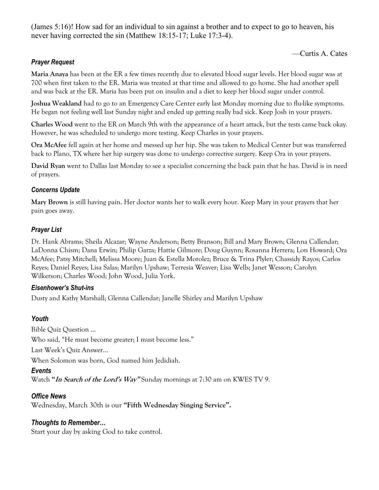(James 5:16)! How sad for an individual to sin against a brother and to expect to go to heaven, his never having corrected the sin (Matthew 18:15-17; Luke 17:3-4).

—Curtis A. Cates

#### *Prayer Request*

**Maria Anaya** has been at the ER a few times recently due to elevated blood sugar levels. Her blood sugar was at 700 when first taken to the ER. Maria was treated at that time and allowed to go home. She had another spell and was back at the ER. Maria has been put on insulin and a diet to keep her blood sugar under control.

**Joshua Weakland** had to go to an Emergency Care Center early last Monday morning due to flu-like symptoms. He began not feeling well last Sunday night and ended up getting really bad sick. Keep Josh in your prayers.

**Charles Wood** went to the ER on March 9th with the appearance of a heart attack, but the tests came back okay. However, he was scheduled to undergo more testing. Keep Charles in your prayers.

**Ora McAfee** fell again at her home and messed up her hip. She was taken to Medical Center but was transferred back to Plano, TX where her hip surgery was done to undergo corrective surgery. Keep Ora in your prayers.

**David Ryan** went to Dallas last Monday to see a specialist concerning the back pain that he has. David is in need of prayers.

#### *Concerns Update*

**Mary Brown** is still having pain. Her doctor wants her to walk every hour. Keep Mary in your prayers that her pain goes away.

### *Prayer List*

Dr. Hank Abrams; Sheila Alcazar; Wayne Anderson; Betty Branson; Bill and Mary Brown; Glenna Callendar; LaDonna Chism; Dana Erwin; Philip Garza; Hattie Gilmore; Doug Guynn; Rosanna Herrera; Lon Howard; Ora McAfee; Patsy Mitchell; Melissa Moore; Juan & Estella Morolez; Bruce & Trina Plyler; Chassidy Rayos; Carlos Reyes; Daniel Reyes; Lisa Salas; Marilyn Upshaw; Terresia Weaver; Lisa Wells; Janet Wesson; Carolyn Wilkerson; Charles Wood; John Wood, Julia York.

#### *Eisenhower's Shut-ins*

Dusty and Kathy Marshall; Glenna Callendar; Janelle Shirley and Marilyn Upshaw

### *Youth*

Bible Quiz Question … Who said, "He must become greater; I must become less." Last Week's Quiz Answer… When Solomon was born, God named him Jedidiah. *Events* 

Watch **"In Search of the Lord's Way"** Sunday mornings at 7:30 am on KWES TV 9.

### *Office News*

Wednesday, March 30th is our **"Fifth Wednesday Singing Service".** 

### *Thoughts to Remember…*

Start your day by asking God to take control.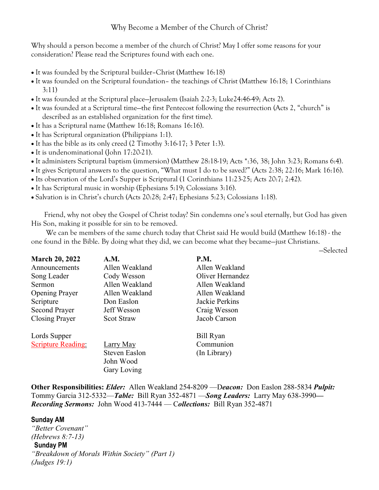### Why Become a Member of the Church of Christ?

Why should a person become a member of the church of Christ? May I offer some reasons for your consideration? Please read the Scriptures found with each one.

- It was founded by the Scriptural builder–Christ (Matthew 16:18)
- It was founded on the Scriptural foundation– the teachings of Christ (Matthew 16:18; 1 Corinthians 3:11)
- It was founded at the Scriptural place—Jerusalem (Isaiah 2:2-3; Luke24:46-49; Acts 2).
- It was founded at a Scriptural time—the first Pentecost following the resurrection (Acts 2, "church" is described as an established organization for the first time).
- It has a Scriptural name (Matthew 16:18; Romans 16:16).
- It has Scriptural organization (Philippians 1:1).
- It has the bible as its only creed (2 Timothy 3:16-17; 3 Peter 1:3).
- It is undenominational (John 17:20-21).
- It administers Scriptural baptism (immersion) (Matthew 28:18-19; Acts \*:36, 38; John 3:23; Romans 6:4).
- It gives Scriptural answers to the question, "What must I do to be saved?" (Acts 2:38; 22:16; Mark 16:16).
- Its observation of the Lord's Supper is Scriptural (1 Corinthians 11:23-25; Acts 20:7; 2:42).
- It has Scriptural music in worship (Ephesians 5:19; Colossians 3:16).
- Salvation is in Christ's church (Acts 20:28; 2:47; Ephesians 5:23; Colossians 1:18).

 Friend, why not obey the Gospel of Christ today? Sin condemns one's soul eternally, but God has given His Son, making it possible for sin to be removed.

 We can be members of the same church today that Christ said He would build (Matthew 16:18) - the one found in the Bible. By doing what they did, we can become what they became—just Christians.

—Selected

| <b>March 20, 2022</b>     | A.M.              | <b>P.M.</b>      |
|---------------------------|-------------------|------------------|
| Announcements             | Allen Weakland    | Allen Weakland   |
| Song Leader               | Cody Wesson       | Oliver Hernandez |
| Sermon                    | Allen Weakland    | Allen Weakland   |
| <b>Opening Prayer</b>     | Allen Weakland    | Allen Weakland   |
| Scripture                 | Don Easlon        | Jackie Perkins   |
| <b>Second Prayer</b>      | Jeff Wesson       | Craig Wesson     |
| <b>Closing Prayer</b>     | <b>Scot Straw</b> | Jacob Carson     |
| Lords Supper              |                   | Bill Ryan        |
| <b>Scripture Reading:</b> | Larry May         | Communion        |
|                           | Steven Easlon     | (In Library)     |
|                           | John Wood         |                  |
|                           | Gary Loving       |                  |

**Other Responsibilities:** *Elder:* Allen Weakland 254-8209 —D*eacon:*Don Easlon 288-5834 *Pulpit:* Tommy Garcia 312-5332—*Table:* Bill Ryan 352-4871 —*Song Leaders:* Larry May 638-3990*— Recording Sermons:* John Wood 413-7444 — C*ollections:* Bill Ryan 352-4871

**Sunday AM** *"Better Covenant" (Hebrews 8:7-13)*  **Sunday PM** *"Breakdown of Morals Within Society" (Part 1) (Judges 19:1)*